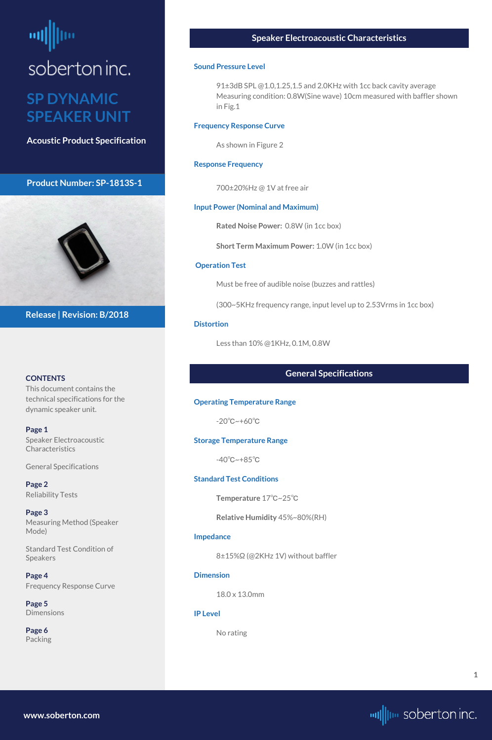# <span id="page-0-0"></span>soberton inc.

#### **SP DYNAMIC SPEAKER UNIT**

**Acoustic Product Specification**

#### **Product Number: SP-1813S-1**



#### **CONTENTS**

This document contains the technical specifications for the dynamic speaker unit.

**[Page 5](#page-4-0) [Dimensions](#page-4-0)** 

**Page 1** Speaker Electroacoustic Characteristics

General Specifications

**[Page 2](#page-1-0)** [Reliability Tests](#page-1-0)

**[Page 3](#page-2-0)** [Measuring Method \(Speaker](#page-2-0)  [Mode\)](#page-2-0)

91±3dB SPL @1.0,1.25,1.5 and 2.0KHz with 1cc back cavity average Measuring condition: 0.8W(Sine wave) 10cm measured with baffler shown in Fig.1

[Standard Test Condition of](#page-2-0)  [Speakers](#page-2-0)

**[Page 4](#page-3-0)** [Frequency Response Curve](#page-3-0)

**[Page 6](#page-5-0)** [Packing](#page-5-0)

**Release | Revision: B/2018**

#### **Speaker Electroacoustic Characteristics**

#### **Sound Pressure Level**

#### **Frequency Response Curve**

As shown in Figure 2

#### **Response Frequency**

700±20%Hz @ 1V at free air

#### **Input Power (Nominal and Maximum)**

**Rated Noise Power:** 0.8W (in 1cc box)

**Short Term Maximum Power:** 1.0W (in 1cc box)

#### **Operation Test**

Must be free of audible noise (buzzes and rattles)

(300~5KHz frequency range, input level up to 2.53Vrms in 1cc box)

#### **Distortion**

Less than 10% @1KHz, 0.1M, 0.8W

#### **General Specifications**

#### **Operating Temperature Range**

-20℃~+60℃

#### **Storage Temperature Range**

-40℃~+85℃

#### **Standard Test Conditions**

**Temperature** 17℃~25℃

**Relative Humidity** 45%~80%(RH)

#### **Impedance**

8±15%Ω (@2KHz 1V) without baffler

#### **Dimension**

18.0 x 13.0mm

**IP Level**

No rating

**[www.soberton.com](http://www.soberton.com)**



**1**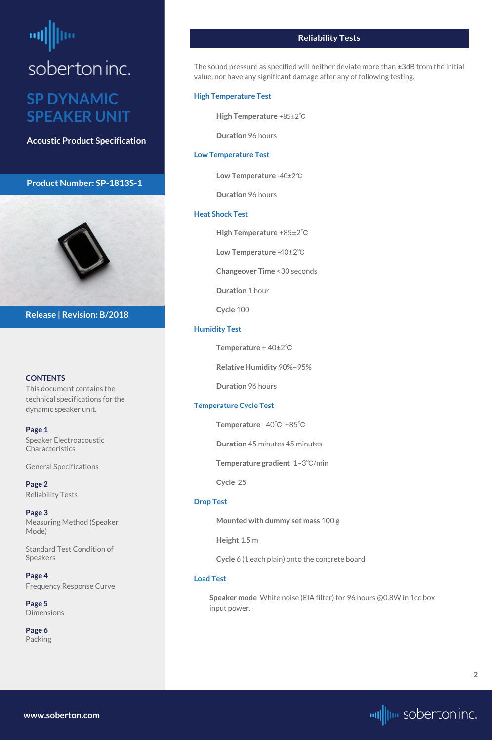## <span id="page-1-0"></span>soberton inc. **SP DYNAMIC**

**SPEAKER UNIT**

**Acoustic Product Specification**

#### **Product Number: SP-1813S-1**

#### **CONTENTS**

**[Page 1](#page-0-0)** [Speaker Electroacoustic](#page-0-0)  **Characteristics** 

This document contains the technical specifications for the dynamic speaker unit.

**[Page 5](#page-4-0) [Dimensions](#page-4-0)** 

[General S](#page-0-0)pecifications

**Page 2** Reliability Tests

**[Page 3](#page-2-0)** [Measuring Method \(Speaker](#page-2-0)  [Mode\)](#page-2-0)

[Standard Test Condition of](#page-2-0)  [Speakers](#page-2-0)

**[Page 4](#page-3-0)** [Frequency Response Curve](#page-3-0)

**[Page 6](#page-5-0)** [Packing](#page-5-0)



**Release | Revision: B/2018**

#### **Reliability Tests**

The sound pressure as specified will neither deviate more than ±3dB from the initial value, nor have any significant damage after any of following testing.

#### **High Temperature Test**

**High Temperature** +85±2℃

**Duration** 96 hours

#### **Low Temperature Test**

**Low Temperature** -40±2℃

**Duration** 96 hours

#### **Heat Shock Test**

**High Temperature** +85±2℃

**Low Temperature** -40±2℃

**Changeover Time** <30 seconds

**Duration** 1 hour

**Cycle** 100

#### **Humidity Test**

**Temperature** + 40±2℃

**Relative Humidity** 90%~95%

**Duration** 96 hours

#### **Temperature Cycle Test**

**Temperature** -40℃ +85℃

**Duration** 45 minutes 45 minutes

**Temperature gradient** 1~3℃/min

**Cycle** 25

#### **Drop Test**

**Mounted with dummy set mass** 100 g

**Height** 1.5 m

**Cycle** 6 (1 each plain) onto the concrete board

#### **Load Test**

**Speaker mode** White noise (EIA filter) for 96 hours @0.8W in 1cc box input power.

**[www.soberton.com](http://www.soberton.com)**

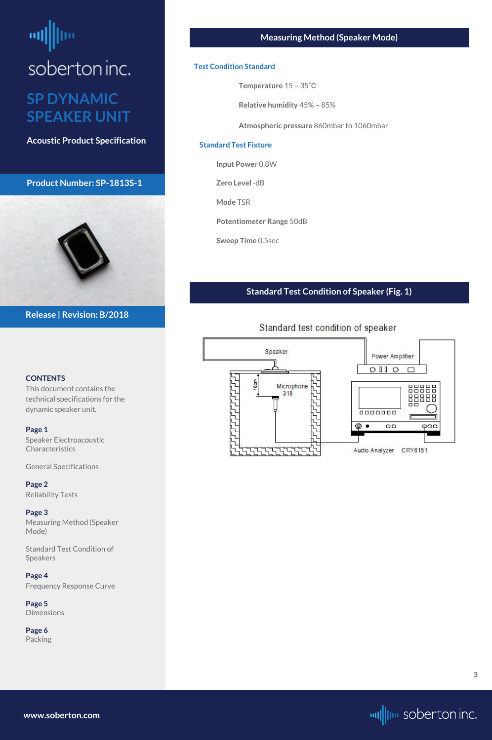### <span id="page-2-0"></span>soberton inc. **SP DYNAMIC SPEAKER UNIT**

**Acoustic Product Specification**

#### **Product Number: SP-1813S-1**

#### **CONTENTS**

[Speaker Electroacoustic](#page-0-0)  **Characteristics** 

This document contains the technical specifications for the dynamic speaker unit.

#### **[Page 1](#page-0-0)**

[General S](#page-0-0)pecifications

**[Page 2](#page-1-0)** [Reliability Tests](#page-1-0)

**Page 3** Measuring Method (Speaker Mode)

Standard Test Condition of Speakers

**[Page 4](#page-3-0)** [Frequency Response Curve](#page-3-0)

**[Page 5](#page-4-0)** [Dimensions](#page-4-0)

**[Page 6](#page-5-0)** [Packing](#page-5-0)



**Release | Revision: B/2018**

#### **Measuring Method (Speaker Mode)**

#### **Test Condition Standard**

**Temperature** 15 ~ 35℃

**Relative humidity** 45% ~ 85%

**Atmospheric pressure** 860mbar to 1060mbar

#### **Standard Test Fixture**

**Input Powe**r 0.8W

**Zero Level** -dB

**Mode** TSR

**Potentiometer Range** 50dB

**Sweep Time** 0.5sec

#### **Standard Test Condition of Speaker (Fig. 1)**



#### Standard test condition of speaker

**[www.soberton.com](http://www.soberton.com)**

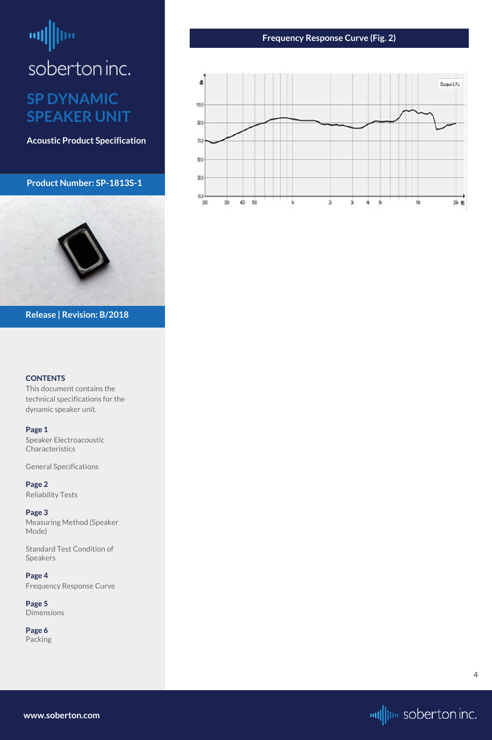## <span id="page-3-0"></span>ᆒ soberton inc.

#### **SP DYNAMIC SPEAKER UNIT**

**Acoustic Product Specification**

**Product Number: SP-1813S-1**



#### **CONTENTS**

**[Page 1](#page-0-0)** [Speaker Electroacoustic](#page-0-0)  **Characteristics** 

This document contains the technical specifications for the dynamic speaker unit.

[General S](#page-0-0)pecifications

**[Page 2](#page-1-0)** [Reliability Tests](#page-1-0)

**[Page 3](#page-2-0)** [Measuring Method \(Speaker](#page-2-0)  [Mode\)](#page-2-0)

[Standard Test Condition of](#page-2-0)  [Speakers](#page-2-0)

**Page 4** Frequency Response Curve

**[Page 5](#page-4-0)** [Dimensions](#page-4-0)

**[Page 6](#page-5-0)** [Packing](#page-5-0)

**Release | Revision: B/2018**

#### **Frequency Response Curve (Fig. 2)**



**[www.soberton.com](http://www.soberton.com)**



**4**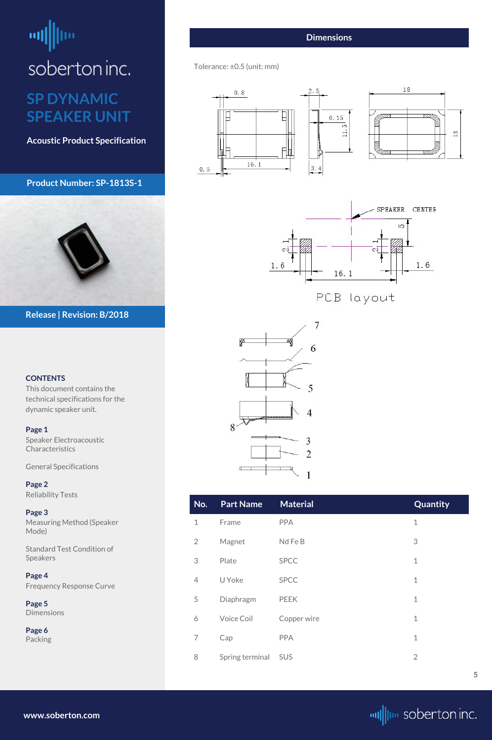# <span id="page-4-0"></span>soberton inc.

#### **SP DYNAMIC SPEAKER UNIT**

**Acoustic Product Specification**

#### **Product Number: SP-1813S-1**

#### **CONTENTS**

[Speaker Electroacoustic](#page-0-0)  **Characteristics** 

This document contains the technical specifications for the dynamic speaker unit.

#### **[Page 1](#page-0-0)**

**Page 5 Dimensions** 

[General S](#page-0-0)pecifications

**[Page 2](#page-1-0)** [Reliability Tests](#page-1-0)

**[Page 3](#page-2-0)** [Measuring Method \(Speaker](#page-2-0)  [Mode\)](#page-2-0)

[Standard Test Condition of](#page-2-0)  [Speakers](#page-2-0)

**[Page 4](#page-3-0)** [Frequency Response Curve](#page-3-0)

**[Page 6](#page-5-0)** [Packing](#page-5-0)



**Release | Revision: B/2018**

**[www.soberton.com](http://www.soberton.com)**



| No.            | <b>Part Name</b> | <b>Material</b> | Quantity       |
|----------------|------------------|-----------------|----------------|
| $\mathbf 1$    | Frame            | <b>PPA</b>      | $\mathbf 1$    |
| $\overline{2}$ | Magnet           | Nd Fe B         | 3              |
| 3              | Plate            | <b>SPCC</b>     | $\mathbf 1$    |
| $\overline{4}$ | U Yoke           | <b>SPCC</b>     | $\mathbf 1$    |
| 5              | Diaphragm        | <b>PEEK</b>     | $\mathbf 1$    |
| 6              | Voice Coil       | Copper wire     | $\mathbf 1$    |
| 7              | Cap              | <b>PPA</b>      | $\mathbf 1$    |
| 8              | Spring terminal  | <b>SUS</b>      | $\overline{2}$ |

#### **Dimensions**

Tolerance: ±0.5 (unit: mm)